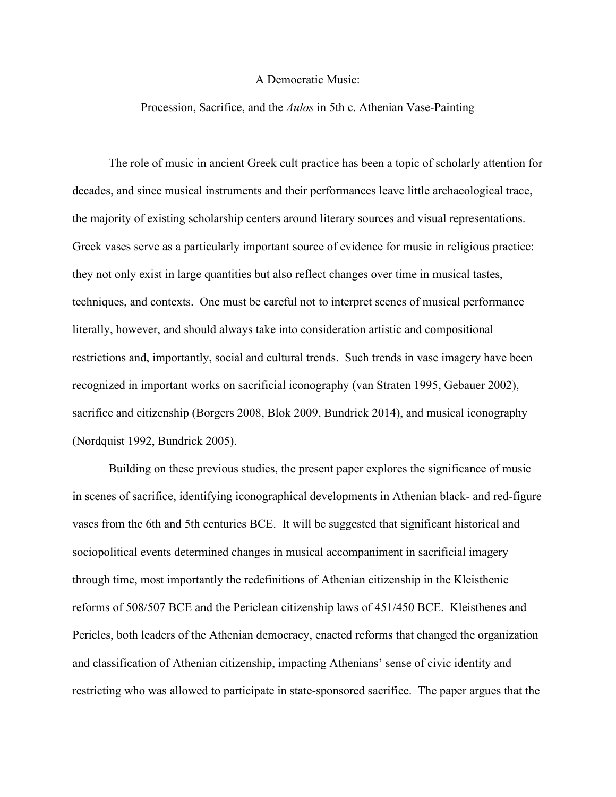## A Democratic Music:

## Procession, Sacrifice, and the *Aulos* in 5th c. Athenian Vase-Painting

The role of music in ancient Greek cult practice has been a topic of scholarly attention for decades, and since musical instruments and their performances leave little archaeological trace, the majority of existing scholarship centers around literary sources and visual representations. Greek vases serve as a particularly important source of evidence for music in religious practice: they not only exist in large quantities but also reflect changes over time in musical tastes, techniques, and contexts. One must be careful not to interpret scenes of musical performance literally, however, and should always take into consideration artistic and compositional restrictions and, importantly, social and cultural trends. Such trends in vase imagery have been recognized in important works on sacrificial iconography (van Straten 1995, Gebauer 2002), sacrifice and citizenship (Borgers 2008, Blok 2009, Bundrick 2014), and musical iconography (Nordquist 1992, Bundrick 2005).

Building on these previous studies, the present paper explores the significance of music in scenes of sacrifice, identifying iconographical developments in Athenian black- and red-figure vases from the 6th and 5th centuries BCE. It will be suggested that significant historical and sociopolitical events determined changes in musical accompaniment in sacrificial imagery through time, most importantly the redefinitions of Athenian citizenship in the Kleisthenic reforms of 508/507 BCE and the Periclean citizenship laws of 451/450 BCE. Kleisthenes and Pericles, both leaders of the Athenian democracy, enacted reforms that changed the organization and classification of Athenian citizenship, impacting Athenians' sense of civic identity and restricting who was allowed to participate in state-sponsored sacrifice. The paper argues that the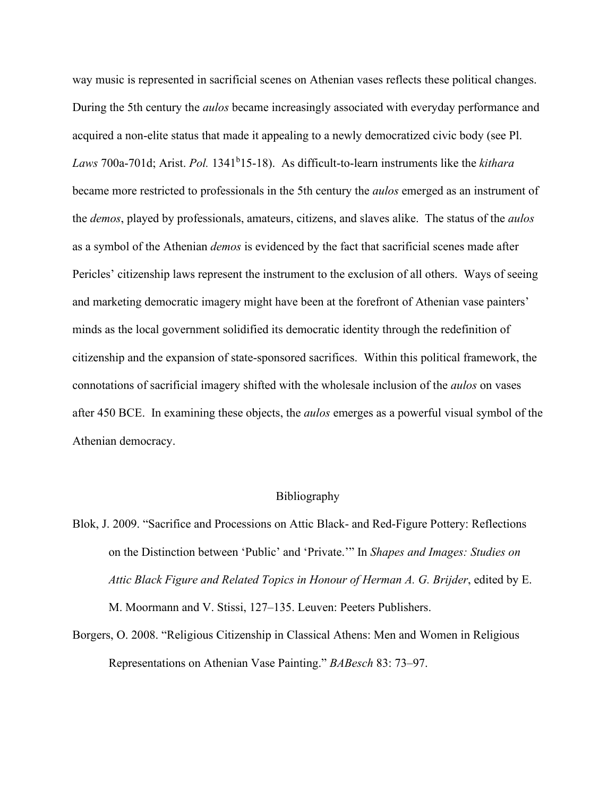way music is represented in sacrificial scenes on Athenian vases reflects these political changes. During the 5th century the *aulos* became increasingly associated with everyday performance and acquired a non-elite status that made it appealing to a newly democratized civic body (see Pl. Laws 700a-701d; Arist. *Pol.* 1341<sup>b</sup>15-18). As difficult-to-learn instruments like the *kithara* became more restricted to professionals in the 5th century the *aulos* emerged as an instrument of the *demos*, played by professionals, amateurs, citizens, and slaves alike. The status of the *aulos* as a symbol of the Athenian *demos* is evidenced by the fact that sacrificial scenes made after Pericles' citizenship laws represent the instrument to the exclusion of all others. Ways of seeing and marketing democratic imagery might have been at the forefront of Athenian vase painters' minds as the local government solidified its democratic identity through the redefinition of citizenship and the expansion of state-sponsored sacrifices. Within this political framework, the connotations of sacrificial imagery shifted with the wholesale inclusion of the *aulos* on vases after 450 BCE. In examining these objects, the *aulos* emerges as a powerful visual symbol of the Athenian democracy.

## Bibliography

- Blok, J. 2009. "Sacrifice and Processions on Attic Black- and Red-Figure Pottery: Reflections on the Distinction between 'Public' and 'Private.'" In *Shapes and Images: Studies on Attic Black Figure and Related Topics in Honour of Herman A. G. Brijder*, edited by E. M. Moormann and V. Stissi, 127–135. Leuven: Peeters Publishers.
- Borgers, O. 2008. "Religious Citizenship in Classical Athens: Men and Women in Religious Representations on Athenian Vase Painting." *BABesch* 83: 73–97.